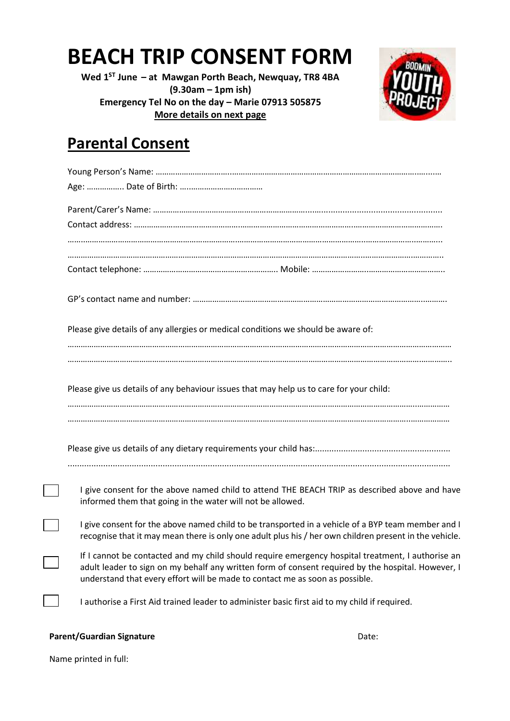## **BEACH TRIP CONSENT FORM**

**Wed 1 ST June – at Mawgan Porth Beach, Newquay, TR8 4BA (9.30am – 1pm ish) Emergency Tel No on the day – Marie 07913 505875 More details on next page**



### **Parental Consent**

| Please give details of any allergies or medical conditions we should be aware of:                                                                                                                                                                                                       |
|-----------------------------------------------------------------------------------------------------------------------------------------------------------------------------------------------------------------------------------------------------------------------------------------|
| Please give us details of any behaviour issues that may help us to care for your child:                                                                                                                                                                                                 |
|                                                                                                                                                                                                                                                                                         |
| I give consent for the above named child to attend THE BEACH TRIP as described above and have<br>informed them that going in the water will not be allowed.                                                                                                                             |
| I give consent for the above named child to be transported in a vehicle of a BYP team member and I<br>recognise that it may mean there is only one adult plus his / her own children present in the vehicle.                                                                            |
| If I cannot be contacted and my child should require emergency hospital treatment, I authorise an<br>adult leader to sign on my behalf any written form of consent required by the hospital. However, I<br>understand that every effort will be made to contact me as soon as possible. |
| I authorise a First Aid trained leader to administer basic first aid to my child if required.                                                                                                                                                                                           |

#### Parent/Guardian Signature **Date:** Date:

Name printed in full: